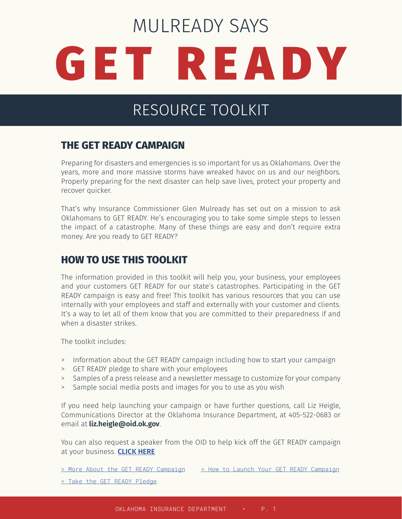# GET READY MULREADY SAYS

# RESOURCE TOOLKIT

### **THE GET READY CAMPAIGN**

Preparing for disasters and emergencies is so important for us as Oklahomans. Over the years, more and more massive storms have wreaked havoc on us and our neighbors. Properly preparing for the next disaster can help save lives, protect your property and recover quicker.

That's why Insurance Commissioner Glen Mulready has set out on a mission to ask Oklahomans to GET READY. He's encouraging you to take some simple steps to lessen the impact of a catastrophe. Many of these things are easy and don't require extra money. Are you ready to GET READY?

## **HOW TO USE THIS TOOLKIT**

The information provided in this toolkit will help you, your business, your employees and your customers GET READY for our state's catastrophes. Participating in the GET READY campaign is easy and free! This toolkit has various resources that you can use internally with your employees and staff and externally with your customer and clients. It's a way to let all of them know that you are committed to their preparedness if and when a disaster strikes.

The toolkit includes:

- > Information about the GET READY campaign including how to start your campaign
- > GET READY pledge to share with your employees
- > Samples of a press release and a newsletter message to customize for your company
- > Sample social media posts and images for you to use as you wish

If you need help launching your campaign or have further questions, call Liz Heigle, Communications Director at the Oklahoma Insurance Department, at 405-522-0683 or email at **liz.heigle@oid.ok.gov**.

You can also request a speaker from the OID to help kick off the GET READY campaign at your business. **[CLICK HERE](https://www.ok.gov/triton/modules/formbuilder/form.php?form_id=7b69b95a4699493307e6f1a92097e7e586d725ff505d8b6921c6c15d0acf96b4)**

[> More About the GET READY Campaign](https://www.ok.gov/oid/documents/Mulready%20Says%20Get%20Ready%20One%20Sheet.pdf) [> How to Launch Your GET READY Campaign](https://www.ok.gov/oid/documents/How%20to%20Get%20Ready.pdf)

[> Take the GET READY Pledge](https://www.ok.gov/oid/documents/Pledge.pdf)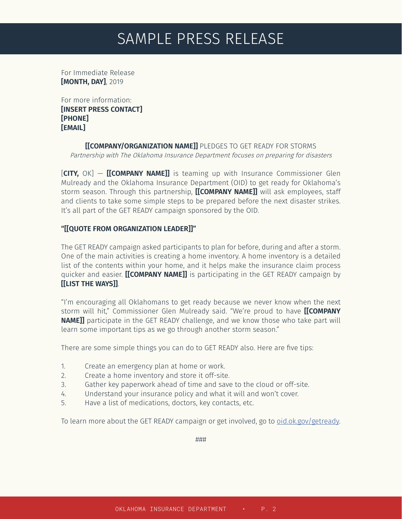# SAMPLE PRESS RELEASE

For Immediate Release **[MONTH, DAY]**, 2019

For more information: **[INSERT PRESS CONTACT] [PHONE] [EMAIL]** 

> **[[COMPANY/ORGANIZATION NAME]]** PLEDGES TO GET READY FOR STORMS Partnership with The Oklahoma Insurance Department focuses on preparing for disasters

[**CITY,** OK] — **[[COMPANY NAME]]** is teaming up with Insurance Commissioner Glen Mulready and the Oklahoma Insurance Department (OID) to get ready for Oklahoma's storm season. Through this partnership, **[[COMPANY NAME]]** will ask employees, staff and clients to take some simple steps to be prepared before the next disaster strikes. It's all part of the GET READY campaign sponsored by the OID.

#### **"[[QUOTE FROM ORGANIZATION LEADER]]"**

The GET READY campaign asked participants to plan for before, during and after a storm. One of the main activities is creating a home inventory. A home inventory is a detailed list of the contents within your home, and it helps make the insurance claim process quicker and easier. **[[COMPANY NAME]]** is participating in the GET READY campaign by **[[LIST THE WAYS]]**.

"I'm encouraging all Oklahomans to get ready because we never know when the next storm will hit," Commissioner Glen Mulready said. "We're proud to have **[[COMPANY NAME]]** participate in the GET READY challenge, and we know those who take part will learn some important tips as we go through another storm season."

There are some simple things you can do to GET READY also. Here are five tips:

- 1. Create an emergency plan at home or work.
- 2. Create a home inventory and store it off-site.
- 3. Gather key paperwork ahead of time and save to the cloud or off-site.
- 4. Understand your insurance policy and what it will and won't cover.
- 5. Have a list of medications, doctors, key contacts, etc.

To learn more about the GET READY campaign or get involved, go to [oid.ok.gov/getready.](http://oid.ok.gov/getready)

###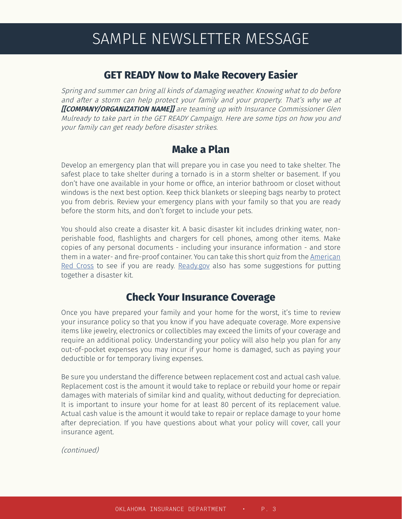# SAMPLE NEWSLETTER MESSAGE

#### **GET READY Now to Make Recovery Easier**

Spring and summer can bring all kinds of damaging weather. Knowing what to do before and after a storm can help protect your family and your property. That's why we at **[[COMPANY/ORGANIZATION NAME]]** are teaming up with Insurance Commissioner Glen Mulready to take part in the GET READY Campaign. Here are some tips on how you and your family can get ready before disaster strikes.

#### **Make a Plan**

Develop an emergency plan that will prepare you in case you need to take shelter. The safest place to take shelter during a tornado is in a storm shelter or basement. If you don't have one available in your home or office, an interior bathroom or closet without windows is the next best option. Keep thick blankets or sleeping bags nearby to protect you from debris. Review your emergency plans with your family so that you are ready before the storm hits, and don't forget to include your pets.

You should also create a disaster kit. A basic disaster kit includes drinking water, nonperishable food, flashlights and chargers for cell phones, among other items. Make copies of any personal documents - including your insurance information - and store them in a water- and fire-proof container. You can take this short quiz from the [American](https://www.redcross.org/get-help/how-to-prepare-for-emergencies/survival-kit-supplies.html)  [Red Cross](https://www.redcross.org/get-help/how-to-prepare-for-emergencies/survival-kit-supplies.html) to see if you are ready. [Ready.gov](https://www.ready.gov/build-a-kit) also has some suggestions for putting together a disaster kit.

#### **Check Your Insurance Coverage**

Once you have prepared your family and your home for the worst, it's time to review your insurance policy so that you know if you have adequate coverage. More expensive items like jewelry, electronics or collectibles may exceed the limits of your coverage and require an additional policy. Understanding your policy will also help you plan for any out-of-pocket expenses you may incur if your home is damaged, such as paying your deductible or for temporary living expenses.

Be sure you understand the difference between replacement cost and actual cash value. Replacement cost is the amount it would take to replace or rebuild your home or repair damages with materials of similar kind and quality, without deducting for depreciation. It is important to insure your home for at least 80 percent of its replacement value. Actual cash value is the amount it would take to repair or replace damage to your home after depreciation. If you have questions about what your policy will cover, call your insurance agent.

(continued)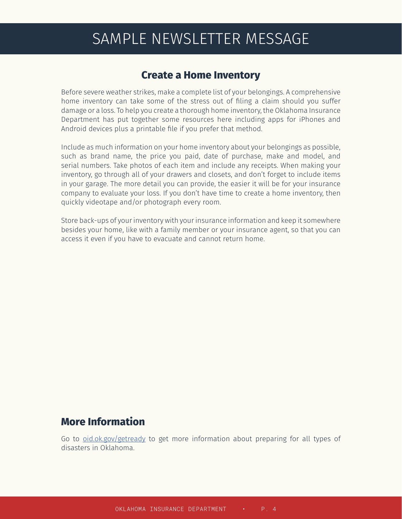# SAMPLE NEWSLETTER MESSAGE

#### **Create a Home Inventory**

Before severe weather strikes, make a complete list of your belongings. A comprehensive home inventory can take some of the stress out of filing a claim should you suffer damage or a loss. To help you create a thorough home inventory, the Oklahoma Insurance Department has put together some resources [here](https://www.ok.gov/oid/home_inventory.html) including apps for [iPhones](https://itunes.apple.com/app/myhome-scr-app-book/id414273863?mt=8) and [Android](https://play.google.com/store/apps/details?id=org.naic.scrapbook&feature=search_result) devices plus a [printable file](https://www.ok.gov/oid/documents/Home_Inventory.pdf) if you prefer that method.

Include as much information on your home inventory about your belongings as possible, such as brand name, the price you paid, date of purchase, make and model, and serial numbers. Take photos of each item and include any receipts. When making your inventory, go through all of your drawers and closets, and don't forget to include items in your garage. The more detail you can provide, the easier it will be for your insurance company to evaluate your loss. If you don't have time to create a home inventory, then quickly videotape and/or photograph every room.

Store back-ups of your inventory with your insurance information and keep it somewhere besides your home, like with a family member or your insurance agent, so that you can access it even if you have to evacuate and cannot return home.

#### **More Information**

Go to [oid.ok.gov/getready](http://oid.ok.gov/getready) to get more information about preparing for all types of disasters in Oklahoma.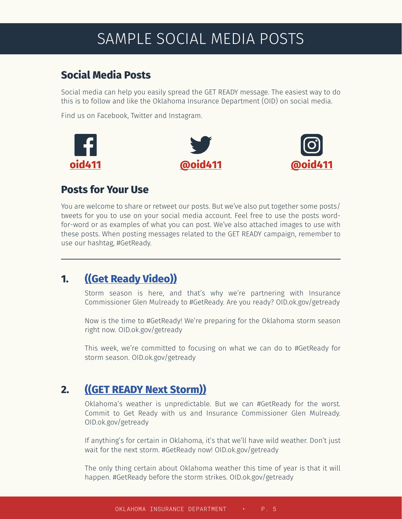# SAMPLE SOCIAL MEDIA POSTS

# **Social Media Posts**

Social media can help you easily spread the GET READY message. The easiest way to do this is to follow and like the Oklahoma Insurance Department (OID) on social media.

Find us on Facebook, Twitter and Instagram.







#### **Posts for Your Use**

You are welcome to share or retweet our posts. But we've also put together some posts/ tweets for you to use on your social media account. Feel free to use the posts wordfor-word or as examples of what you can post. We've also attached images to use with these posts. When posting messages related to the GET READY campaign, remember to use our hashtag, #GetReady.

# **1. [\(\(Get Ready Video\)\)](https://youtu.be/17oIvbnj2Yg)**

Storm season is here, and that's why we're partnering with Insurance Commissioner Glen Mulready to #GetReady. Are you ready? OID.ok.gov/getready

Now is the time to #GetReady! We're preparing for the Oklahoma storm season right now. OID.ok.gov/getready

This week, we're committed to focusing on what we can do to #GetReady for storm season. OID.ok.gov/getready

# **2. [\(\(GET READY Next Storm\)\)](https://www.ok.gov/oid/images/GET%20READY%20Next%20Storm.jpg)**

Oklahoma's weather is unpredictable. But we can #GetReady for the worst. Commit to Get Ready with us and Insurance Commissioner Glen Mulready. OID.ok.gov/getready

If anything's for certain in Oklahoma, it's that we'll have wild weather. Don't just wait for the next storm. #GetReady now! OID.ok.gov/getready

The only thing certain about Oklahoma weather this time of year is that it will happen. #GetReady before the storm strikes. OID.ok.gov/getready